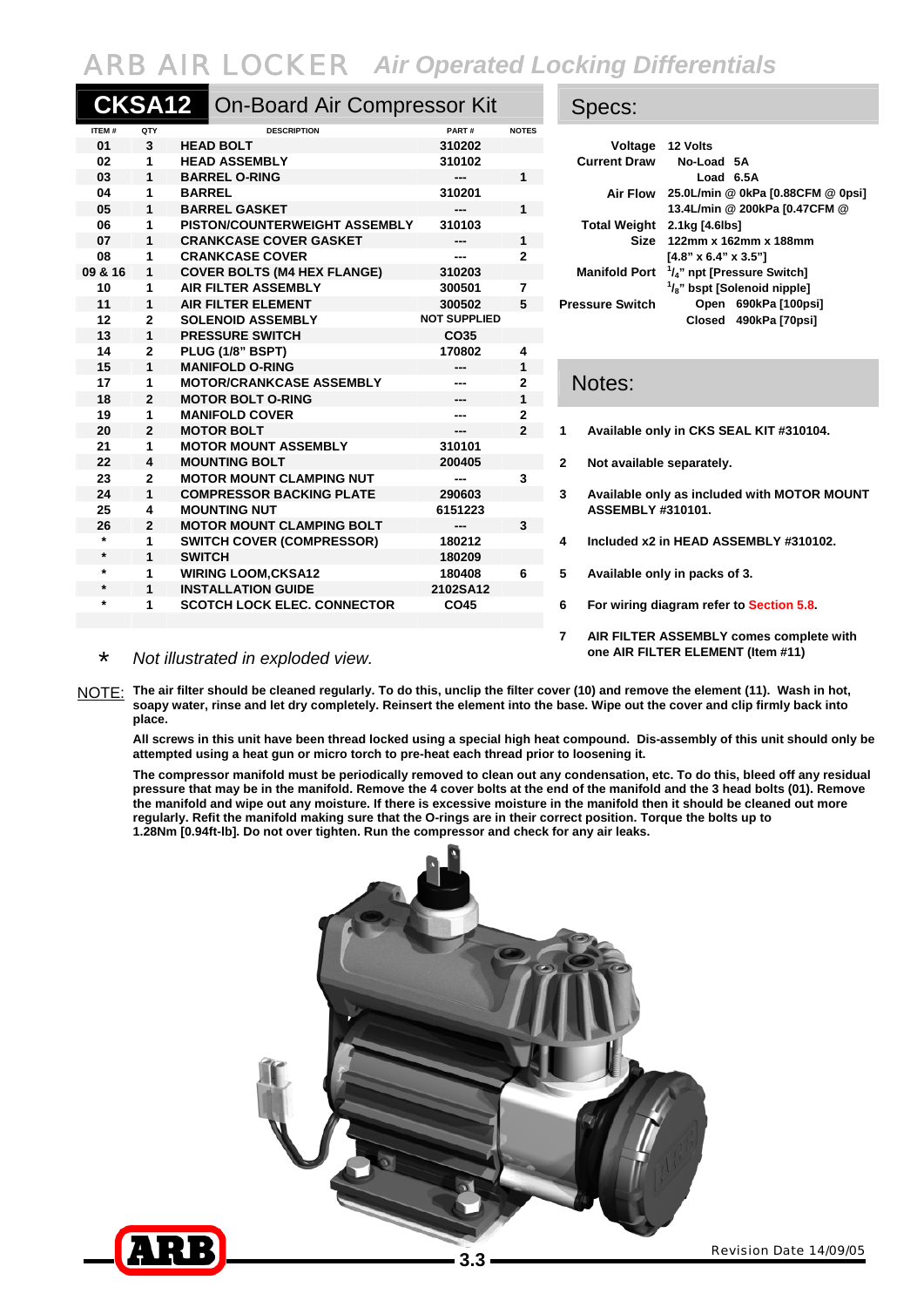## ARB AIR LOCKER*Air Operated Locking Differentials*

|         | <b>CKSA12</b>  | <b>On-Board Air Compressor Kit</b> |                     |                | Specs:                                                                       |                                          |
|---------|----------------|------------------------------------|---------------------|----------------|------------------------------------------------------------------------------|------------------------------------------|
| ITEM#   | QTY            | <b>DESCRIPTION</b>                 | PART#               | <b>NOTES</b>   |                                                                              |                                          |
| 01      | $\mathbf{3}$   | <b>HEAD BOLT</b>                   | 310202              |                |                                                                              | Voltage 12 Volts                         |
| 02      | 1              | <b>HEAD ASSEMBLY</b>               | 310102              |                | <b>Current Draw</b>                                                          | No-Load 5A                               |
| 03      | $\mathbf{1}$   | <b>BARREL O-RING</b>               | ---                 | $1 -$          |                                                                              | Load 6.5A                                |
| 04      | 1              | <b>BARREL</b>                      | 310201              |                | <b>Air Flow</b>                                                              | 25.0L/min @ 0kPa [0.88CFM @ 0psi]        |
| 05      | 1              | <b>BARREL GASKET</b>               |                     | 1              |                                                                              | 13.4L/min @ 200kPa [0.47CFM @            |
| 06      | 1              | PISTON/COUNTERWEIGHT ASSEMBLY      | 310103              |                | <b>Total Weight</b>                                                          | 2.1kg [4.6lbs]                           |
| 07      | 1              | <b>CRANKCASE COVER GASKET</b>      | ---                 | $1 -$          |                                                                              | Size 122mm x 162mm x 188mm               |
| 08      | 1              | <b>CRANKCASE COVER</b>             | ---                 | 2              |                                                                              | $[4.8" \times 6.4" \times 3.5"]$         |
| 09 & 16 | 1              | <b>COVER BOLTS (M4 HEX FLANGE)</b> | 310203              |                | <b>Manifold Port</b>                                                         | $1/4$ " npt [Pressure Switch]            |
| 10      | 1              | <b>AIR FILTER ASSEMBLY</b>         | 300501              | 7              |                                                                              | 1/ <sub>8</sub> " bspt [Solenoid nipple] |
| 11      | 1              | <b>AIR FILTER ELEMENT</b>          | 300502              | 5              | <b>Pressure Switch</b>                                                       | Open 690kPa [100psi]                     |
| 12      | $\overline{2}$ | <b>SOLENOID ASSEMBLY</b>           | <b>NOT SUPPLIED</b> |                | Closed 490kPa [70psi]                                                        |                                          |
| 13      | $\mathbf{1}$   | <b>PRESSURE SWITCH</b>             | CO <sub>35</sub>    |                |                                                                              |                                          |
| 14      | $\overline{2}$ | PLUG (1/8" BSPT)                   | 170802              | 4              |                                                                              |                                          |
| 15      | $\mathbf{1}$   | <b>MANIFOLD O-RING</b>             | ---                 | $\mathbf{1}$   |                                                                              |                                          |
| 17      | 1              | <b>MOTOR/CRANKCASE ASSEMBLY</b>    | ---                 | 2              | Notes:                                                                       |                                          |
| 18      | $\mathbf{2}$   | <b>MOTOR BOLT O-RING</b>           | ---                 | 1              |                                                                              |                                          |
| 19      | 1              | <b>MANIFOLD COVER</b>              | ---                 | 2              |                                                                              |                                          |
| 20      | $\overline{2}$ | <b>MOTOR BOLT</b>                  | ---                 | $\overline{2}$ | Available only in CKS SEAL KIT #310104.<br>1                                 |                                          |
| 21      | 1              | <b>MOTOR MOUNT ASSEMBLY</b>        | 310101              |                |                                                                              |                                          |
| 22      | 4              | <b>MOUNTING BOLT</b>               | 200405              |                | 2<br>Not available separately.                                               |                                          |
| 23      | $\mathbf{2}$   | <b>MOTOR MOUNT CLAMPING NUT</b>    | ---                 | 3              |                                                                              |                                          |
| 24      | $\mathbf{1}$   | <b>COMPRESSOR BACKING PLATE</b>    | 290603              |                | 3<br>Available only as included with MOTOR MOUNT<br><b>ASSEMBLY #310101.</b> |                                          |
| 25      | 4              | <b>MOUNTING NUT</b>                | 6151223             |                |                                                                              |                                          |
| 26      | $\overline{2}$ | <b>MOTOR MOUNT CLAMPING BOLT</b>   | ---                 | $\mathbf{3}$   |                                                                              |                                          |
| $\star$ | 1              | <b>SWITCH COVER (COMPRESSOR)</b>   | 180212              |                | 4                                                                            | Included x2 in HEAD ASSEMBLY #310102.    |
| $\star$ | 1              | <b>SWITCH</b>                      | 180209              |                |                                                                              |                                          |
| $\star$ | 1              | <b>WIRING LOOM, CKSA12</b>         | 180408              | 6              | 5<br>Available only in packs of 3.                                           |                                          |
| $\star$ | 1              | <b>INSTALLATION GUIDE</b>          | 2102SA12            |                |                                                                              |                                          |
| $\star$ | 1              | <b>SCOTCH LOCK ELEC. CONNECTOR</b> | CO45                |                | 6                                                                            | For wiring diagram refer to Section 5.8. |
|         |                |                                    |                     |                |                                                                              |                                          |

|                             | Voltage 12 Volts                                     |
|-----------------------------|------------------------------------------------------|
|                             | Current Draw No-Load 5A                              |
|                             | Load 6.5A                                            |
|                             | Air Flow 25.0L/min @ 0kPa [0.88CFM @ 0psi]           |
|                             | 13.4L/min @ 200kPa [0.47CFM @                        |
| Total Weight 2.1kg [4.6lbs] |                                                      |
|                             | Size 122mm x 162mm x 188mm                           |
|                             | $[4.8" \times 6.4" \times 3.5"]$                     |
|                             | Manifold Port <sup>1</sup> /4" npt [Pressure Switch] |
|                             | $\frac{1}{8}$ " bspt [Solenoid nipple]               |
| Pressure Switch             | Open 690kPa [100psi]                                 |
|                             | Closed 490kPa [70psi]                                |
|                             |                                                      |

## Notes:

- **20 2 MOTOR BOLT --- 2 1 Available only in CKS SEAL KIT #310104.**
- **2** Not available separately.
- **24 1 COMPRESSOR BACKING PLATE 290603 3 Available only as included with MOTOR MOUNT 25 ASSEMBLY #310101.**
- **4** Included x2 in HEAD ASSEMBLY #310102.
	- 5 Available only in packs of 3.
	- **6** For wiring diagram refer to **Section 5.8.**
	- **7 AIR FILTER ASSEMBLY comes complete with**

## \* *Not illustrated in exploded view.* **one AIR FILTER ELEMENT (Item #11)**

NOTE: **The air filter should be cleaned regularly. To do this, unclip the filter cover (10) and remove the element (11). Wash in hot, soapy water, rinse and let dry completely. Reinsert the element into the base. Wipe out the cover and clip firmly back into place.** 

**All screws in this unit have been thread locked using a special high heat compound. Dis-assembly of this unit should only be attempted using a heat gun or micro torch to pre-heat each thread prior to loosening it.** 

**The compressor manifold must be periodically removed to clean out any condensation, etc. To do this, bleed off any residual pressure that may be in the manifold. Remove the 4 cover bolts at the end of the manifold and the 3 head bolts (01). Remove the manifold and wipe out any moisture. If there is excessive moisture in the manifold then it should be cleaned out more regularly. Refit the manifold making sure that the O-rings are in their correct position. Torque the bolts up to 1.28Nm [0.94ft-lb]. Do not over tighten. Run the compressor and check for any air leaks.**